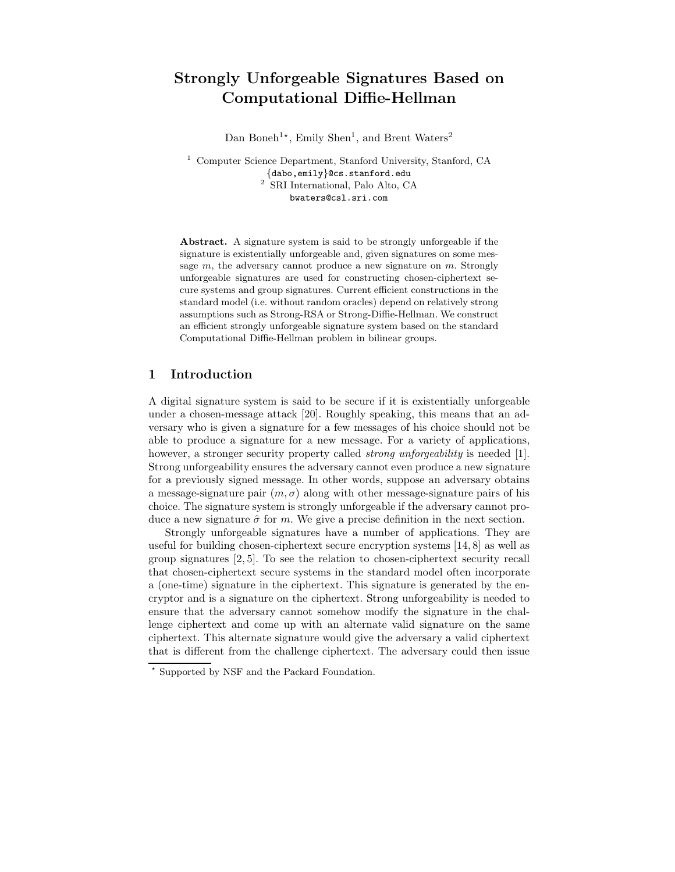# Strongly Unforgeable Signatures Based on Computational Diffie-Hellman

Dan Boneh<sup>1\*</sup>, Emily Shen<sup>1</sup>, and Brent Waters<sup>2</sup>

<sup>1</sup> Computer Science Department, Stanford University, Stanford, CA {dabo,emily}@cs.stanford.edu <sup>2</sup> SRI International, Palo Alto, CA bwaters@csl.sri.com

Abstract. A signature system is said to be strongly unforgeable if the signature is existentially unforgeable and, given signatures on some message  $m$ , the adversary cannot produce a new signature on  $m$ . Strongly unforgeable signatures are used for constructing chosen-ciphertext secure systems and group signatures. Current efficient constructions in the standard model (i.e. without random oracles) depend on relatively strong assumptions such as Strong-RSA or Strong-Diffie-Hellman. We construct an efficient strongly unforgeable signature system based on the standard Computational Diffie-Hellman problem in bilinear groups.

### 1 Introduction

A digital signature system is said to be secure if it is existentially unforgeable under a chosen-message attack [20]. Roughly speaking, this means that an adversary who is given a signature for a few messages of his choice should not be able to produce a signature for a new message. For a variety of applications, however, a stronger security property called *strong unforgeability* is needed [1]. Strong unforgeability ensures the adversary cannot even produce a new signature for a previously signed message. In other words, suppose an adversary obtains a message-signature pair  $(m, \sigma)$  along with other message-signature pairs of his choice. The signature system is strongly unforgeable if the adversary cannot produce a new signature  $\hat{\sigma}$  for m. We give a precise definition in the next section.

Strongly unforgeable signatures have a number of applications. They are useful for building chosen-ciphertext secure encryption systems [14, 8] as well as group signatures [2, 5]. To see the relation to chosen-ciphertext security recall that chosen-ciphertext secure systems in the standard model often incorporate a (one-time) signature in the ciphertext. This signature is generated by the encryptor and is a signature on the ciphertext. Strong unforgeability is needed to ensure that the adversary cannot somehow modify the signature in the challenge ciphertext and come up with an alternate valid signature on the same ciphertext. This alternate signature would give the adversary a valid ciphertext that is different from the challenge ciphertext. The adversary could then issue

<sup>!</sup> Supported by NSF and the Packard Foundation.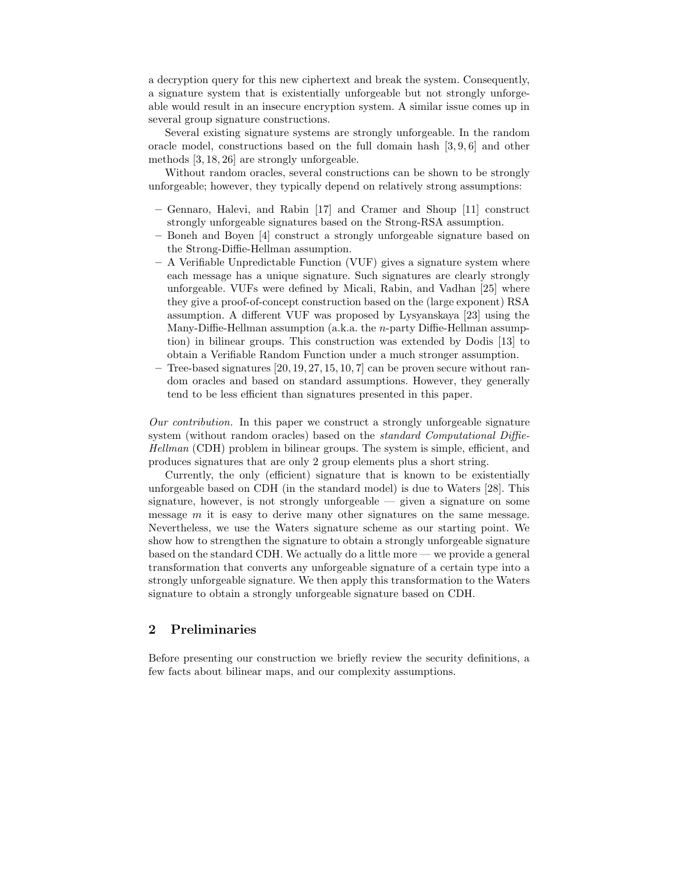a decryption query for this new ciphertext and break the system. Consequently, a signature system that is existentially unforgeable but not strongly unforgeable would result in an insecure encryption system. A similar issue comes up in several group signature constructions.

Several existing signature systems are strongly unforgeable. In the random oracle model, constructions based on the full domain hash [3, 9, 6] and other methods [3, 18, 26] are strongly unforgeable.

Without random oracles, several constructions can be shown to be strongly unforgeable; however, they typically depend on relatively strong assumptions:

- Gennaro, Halevi, and Rabin [17] and Cramer and Shoup [11] construct strongly unforgeable signatures based on the Strong-RSA assumption.
- Boneh and Boyen [4] construct a strongly unforgeable signature based on the Strong-Diffie-Hellman assumption.
- A Verifiable Unpredictable Function (VUF) gives a signature system where each message has a unique signature. Such signatures are clearly strongly unforgeable. VUFs were defined by Micali, Rabin, and Vadhan [25] where they give a proof-of-concept construction based on the (large exponent) RSA assumption. A different VUF was proposed by Lysyanskaya [23] using the Many-Diffie-Hellman assumption (a.k.a. the n-party Diffie-Hellman assumption) in bilinear groups. This construction was extended by Dodis [13] to obtain a Verifiable Random Function under a much stronger assumption.
- Tree-based signatures [20, 19, 27, 15, 10, 7] can be proven secure without random oracles and based on standard assumptions. However, they generally tend to be less efficient than signatures presented in this paper.

Our contribution. In this paper we construct a strongly unforgeable signature system (without random oracles) based on the *standard Computational Diffie-*Hellman (CDH) problem in bilinear groups. The system is simple, efficient, and produces signatures that are only 2 group elements plus a short string.

Currently, the only (efficient) signature that is known to be existentially unforgeable based on CDH (in the standard model) is due to Waters [28]. This signature, however, is not strongly unforgeable — given a signature on some message  $m$  it is easy to derive many other signatures on the same message. Nevertheless, we use the Waters signature scheme as our starting point. We show how to strengthen the signature to obtain a strongly unforgeable signature based on the standard CDH. We actually do a little more — we provide a general transformation that converts any unforgeable signature of a certain type into a strongly unforgeable signature. We then apply this transformation to the Waters signature to obtain a strongly unforgeable signature based on CDH.

# 2 Preliminaries

Before presenting our construction we briefly review the security definitions, a few facts about bilinear maps, and our complexity assumptions.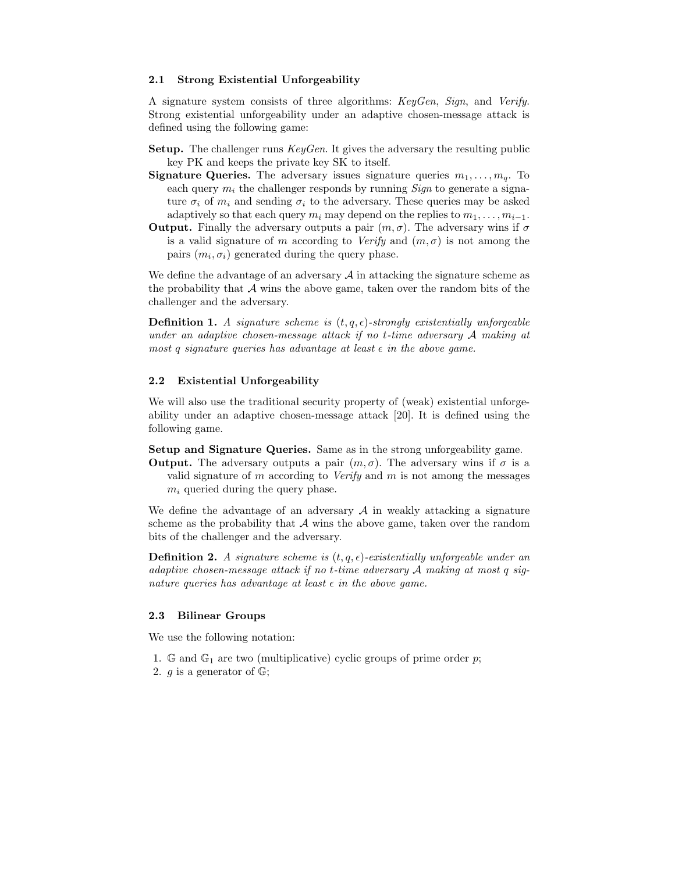#### 2.1 Strong Existential Unforgeability

A signature system consists of three algorithms: KeyGen, Sign, and Verify. Strong existential unforgeability under an adaptive chosen-message attack is defined using the following game:

- Setup. The challenger runs KeyGen. It gives the adversary the resulting public key PK and keeps the private key SK to itself.
- **Signature Queries.** The adversary issues signature queries  $m_1, \ldots, m_q$ . To each query  $m_i$  the challenger responds by running *Sign* to generate a signature  $\sigma_i$  of  $m_i$  and sending  $\sigma_i$  to the adversary. These queries may be asked adaptively so that each query  $m_i$  may depend on the replies to  $m_1, \ldots, m_{i-1}$ .
- **Output.** Finally the adversary outputs a pair  $(m, \sigma)$ . The adversary wins if  $\sigma$ is a valid signature of m according to Verify and  $(m, \sigma)$  is not among the pairs  $(m_i, \sigma_i)$  generated during the query phase.

We define the advantage of an adversary  $A$  in attacking the signature scheme as the probability that  $A$  wins the above game, taken over the random bits of the challenger and the adversary.

**Definition 1.** A signature scheme is  $(t, q, \epsilon)$ -strongly existentially unforgeable under an adaptive chosen-message attack if no t-time adversary A making at most q signature queries has advantage at least  $\epsilon$  in the above game.

#### 2.2 Existential Unforgeability

We will also use the traditional security property of (weak) existential unforgeability under an adaptive chosen-message attack [20]. It is defined using the following game.

Setup and Signature Queries. Same as in the strong unforgeability game.

**Output.** The adversary outputs a pair  $(m, \sigma)$ . The adversary wins if  $\sigma$  is a valid signature of m according to *Verify* and m is not among the messages  $m_i$  queried during the query phase.

We define the advantage of an adversary  $A$  in weakly attacking a signature scheme as the probability that  $A$  wins the above game, taken over the random bits of the challenger and the adversary.

**Definition 2.** A signature scheme is  $(t, q, \epsilon)$ -existentially unforgeable under an adaptive chosen-message attack if no t-time adversary A making at most q signature queries has advantage at least  $\epsilon$  in the above game.

#### 2.3 Bilinear Groups

We use the following notation:

- 1. G and  $\mathbb{G}_1$  are two (multiplicative) cyclic groups of prime order p;
- 2. *g* is a generator of  $\mathbb{G}$ ;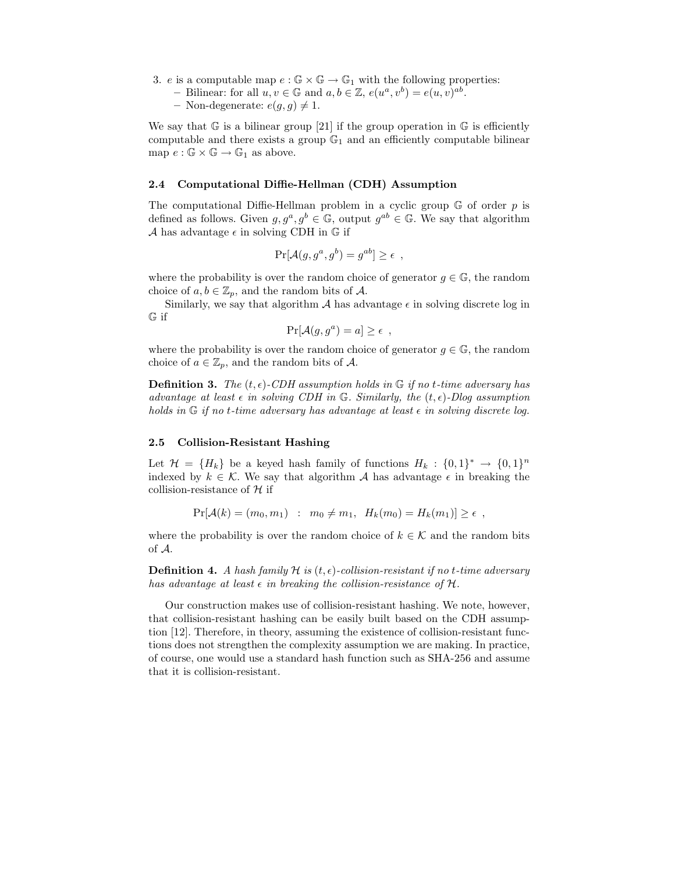- 3. e is a computable map  $e : \mathbb{G} \times \mathbb{G} \to \mathbb{G}_1$  with the following properties:
	- Bilinear: for all  $u, v \in \mathbb{G}$  and  $a, b \in \mathbb{Z}$ ,  $e(u^a, v^b) = e(u, v)^{ab}$ .

– Non-degenerate:  $e(g, g) \neq 1$ .

We say that  $\mathbb G$  is a bilinear group [21] if the group operation in  $\mathbb G$  is efficiently computable and there exists a group  $\mathbb{G}_1$  and an efficiently computable bilinear map  $e : \mathbb{G} \times \mathbb{G} \to \mathbb{G}_1$  as above.

#### 2.4 Computational Diffie-Hellman (CDH) Assumption

The computational Diffie-Hellman problem in a cyclic group  $\mathbb G$  of order p is defined as follows. Given  $g, g^a, g^b \in \mathbb{G}$ , output  $g^{ab} \in \mathbb{G}$ . We say that algorithm A has advantage  $\epsilon$  in solving CDH in  $\mathbb G$  if

$$
\Pr[\mathcal{A}(g, g^a, g^b) = g^{ab}] \ge \epsilon ,
$$

where the probability is over the random choice of generator  $g \in \mathbb{G}$ , the random choice of  $a, b \in \mathbb{Z}_p$ , and the random bits of A.

Similarly, we say that algorithm  $\mathcal A$  has advantage  $\epsilon$  in solving discrete log in G if

$$
\Pr[\mathcal{A}(g, g^a) = a] \ge \epsilon ,
$$

where the probability is over the random choice of generator  $g \in \mathbb{G}$ , the random choice of  $a \in \mathbb{Z}_p$ , and the random bits of A.

**Definition 3.** The  $(t, \epsilon)$ -CDH assumption holds in  $\mathbb{G}$  if no t-time adversary has advantage at least  $\epsilon$  in solving CDH in G. Similarly, the  $(t, \epsilon)$ -Dlog assumption holds in  $\mathbb G$  if no t-time adversary has advantage at least  $\epsilon$  in solving discrete log.

#### 2.5 Collision-Resistant Hashing

Let  $\mathcal{H} = \{H_k\}$  be a keyed hash family of functions  $H_k: \{0,1\}^* \to \{0,1\}^n$ indexed by  $k \in \mathcal{K}$ . We say that algorithm A has advantage  $\epsilon$  in breaking the collision-resistance of  $H$  if

$$
Pr[\mathcal{A}(k) = (m_0, m_1) : m_0 \neq m_1, H_k(m_0) = H_k(m_1)] \geq \epsilon ,
$$

where the probability is over the random choice of  $k \in \mathcal{K}$  and the random bits of A.

**Definition 4.** A hash family H is  $(t, \epsilon)$ -collision-resistant if no t-time adversary has advantage at least  $\epsilon$  in breaking the collision-resistance of H.

Our construction makes use of collision-resistant hashing. We note, however, that collision-resistant hashing can be easily built based on the CDH assumption [12]. Therefore, in theory, assuming the existence of collision-resistant functions does not strengthen the complexity assumption we are making. In practice, of course, one would use a standard hash function such as SHA-256 and assume that it is collision-resistant.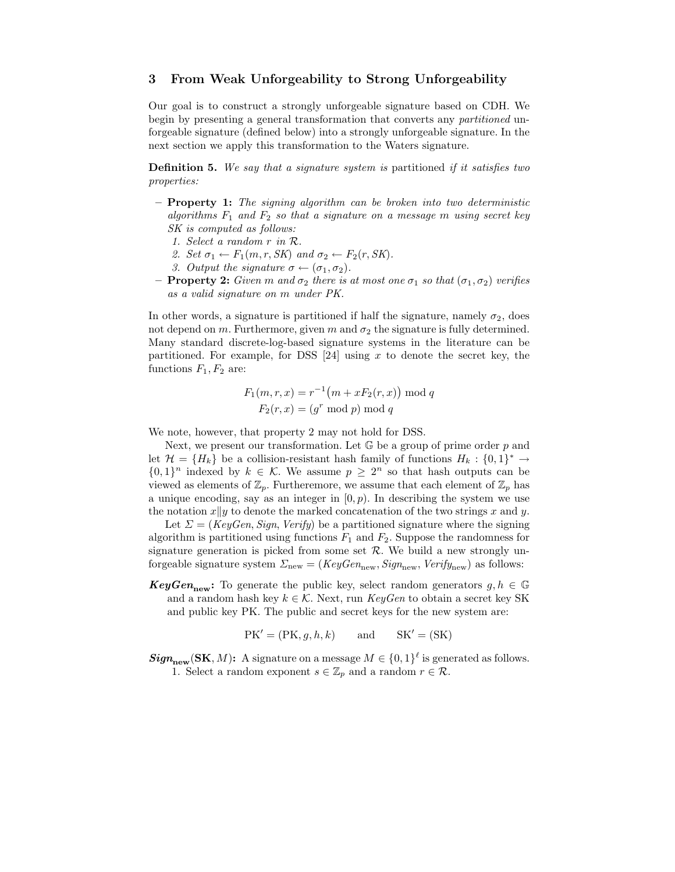# 3 From Weak Unforgeability to Strong Unforgeability

Our goal is to construct a strongly unforgeable signature based on CDH. We begin by presenting a general transformation that converts any partitioned unforgeable signature (defined below) into a strongly unforgeable signature. In the next section we apply this transformation to the Waters signature.

Definition 5. We say that a signature system is partitioned if it satisfies two properties:

- $-$  **Property 1:** The signing algorithm can be broken into two deterministic algorithms  $F_1$  and  $F_2$  so that a signature on a message m using secret key SK is computed as follows:
	- 1. Select a random r in R.
	- 2. Set  $\sigma_1 \leftarrow F_1(m, r, SK)$  and  $\sigma_2 \leftarrow F_2(r, SK)$ .
	- 3. Output the signature  $\sigma \leftarrow (\sigma_1, \sigma_2)$ .
- **Property 2:** Given m and  $\sigma_2$  there is at most one  $\sigma_1$  so that  $(\sigma_1, \sigma_2)$  verifies as a valid signature on m under PK.

In other words, a signature is partitioned if half the signature, namely  $\sigma_2$ , does not depend on m. Furthermore, given  $m$  and  $\sigma_2$  the signature is fully determined. Many standard discrete-log-based signature systems in the literature can be partitioned. For example, for DSS  $[24]$  using x to denote the secret key, the functions  $F_1, F_2$  are:

$$
F_1(m,r,x) = r^{-1}(m + xF_2(r,x)) \mod q
$$
  

$$
F_2(r,x) = (g^r \mod p) \mod q
$$

We note, however, that property 2 may not hold for DSS.

Next, we present our transformation. Let  $\mathbb G$  be a group of prime order  $p$  and let  $\mathcal{H} = \{H_k\}$  be a collision-resistant hash family of functions  $H_k: \{0,1\}^* \to$  $\{0,1\}^n$  indexed by  $k \in \mathcal{K}$ . We assume  $p \geq 2^n$  so that hash outputs can be viewed as elements of  $\mathbb{Z}_p$ . Furtheremore, we assume that each element of  $\mathbb{Z}_p$  has a unique encoding, say as an integer in  $(0, p)$ . In describing the system we use the notation  $x||y$  to denote the marked concatenation of the two strings x and y.

Let  $\Sigma = (KeyGen, Sign, Verify)$  be a partitioned signature where the signing algorithm is partitioned using functions  $F_1$  and  $F_2$ . Suppose the randomness for signature generation is picked from some set  $R$ . We build a new strongly unforgeable signature system  $\Sigma_{\text{new}} = (KeyGen_{\text{new}}, Sign_{\text{new}}, Verify_{\text{new}})$  as follows:

**KeyGen<sub>new</sub>:** To generate the public key, select random generators  $g, h \in \mathbb{G}$ and a random hash key  $k \in \mathcal{K}$ . Next, run  $KeyGen$  to obtain a secret key SK and public key PK. The public and secret keys for the new system are:

 $PK' = (PK, g, h, k)$  and  $SK' = (SK)$ 

 $Sign_{new}(SK, M):$  A signature on a message  $M \in \{0, 1\}^{\ell}$  is generated as follows. 1. Select a random exponent  $s \in \mathbb{Z}_p$  and a random  $r \in \mathcal{R}$ .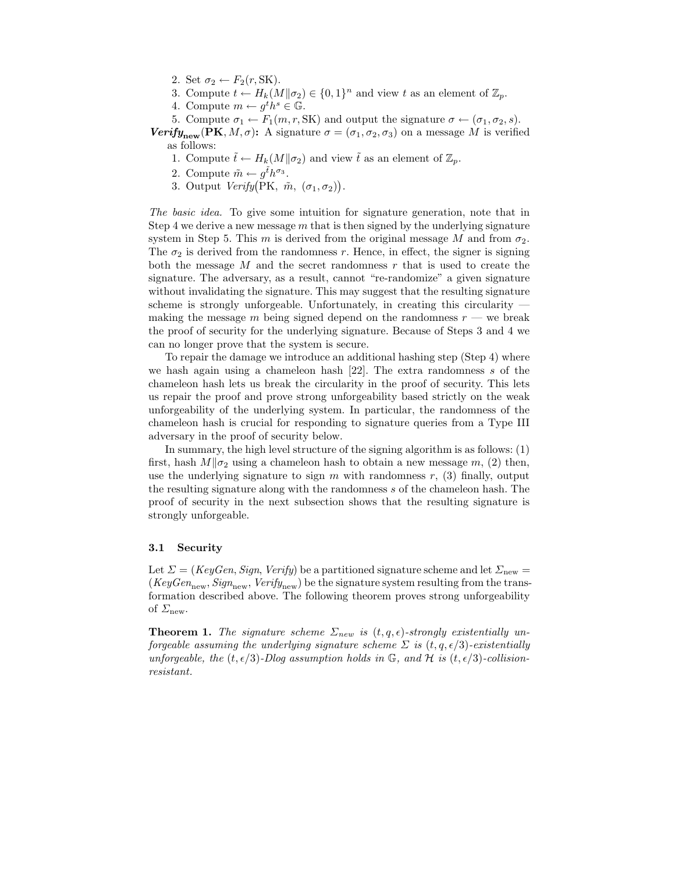- 2. Set  $\sigma_2 \leftarrow F_2(r, SK)$ .
- 3. Compute  $t \leftarrow H_k(M||\sigma_2) \in \{0,1\}^n$  and view t as an element of  $\mathbb{Z}_p$ .
- 4. Compute  $m \leftarrow g^t h^s \in \mathbb{G}$ .
- 5. Compute  $\sigma_1 \leftarrow F_1(m, r, SK)$  and output the signature  $\sigma \leftarrow (\sigma_1, \sigma_2, s)$ .

Verify<sub>new</sub> (PK, M,  $\sigma$ ): A signature  $\sigma = (\sigma_1, \sigma_2, \sigma_3)$  on a message M is verified as follows:

- 1. Compute  $\tilde{t} \leftarrow H_k(M||\sigma_2)$  and view  $\tilde{t}$  as an element of  $\mathbb{Z}_p$ .
- 2. Compute  $\tilde{m} \leftarrow g^{\tilde{t}} h^{\sigma_3}$ .
- 3. Output  $Verify(PK, \tilde{m}, (\sigma_1, \sigma_2)).$

The basic idea. To give some intuition for signature generation, note that in Step 4 we derive a new message  $m$  that is then signed by the underlying signature system in Step 5. This m is derived from the original message M and from  $\sigma_2$ . The  $\sigma_2$  is derived from the randomness r. Hence, in effect, the signer is signing both the message  $M$  and the secret randomness  $r$  that is used to create the signature. The adversary, as a result, cannot "re-randomize" a given signature without invalidating the signature. This may suggest that the resulting signature scheme is strongly unforgeable. Unfortunately, in creating this circularity making the message m being signed depend on the randomness  $r$  — we break the proof of security for the underlying signature. Because of Steps 3 and 4 we can no longer prove that the system is secure.

To repair the damage we introduce an additional hashing step (Step 4) where we hash again using a chameleon hash  $[22]$ . The extra randomness s of the chameleon hash lets us break the circularity in the proof of security. This lets us repair the proof and prove strong unforgeability based strictly on the weak unforgeability of the underlying system. In particular, the randomness of the chameleon hash is crucial for responding to signature queries from a Type III adversary in the proof of security below.

In summary, the high level structure of the signing algorithm is as follows: (1) first, hash  $M||\sigma_2$  using a chameleon hash to obtain a new message m, (2) then, use the underlying signature to sign  $m$  with randomness  $r$ , (3) finally, output the resulting signature along with the randomness s of the chameleon hash. The proof of security in the next subsection shows that the resulting signature is strongly unforgeable.

#### 3.1 Security

Let  $\Sigma = (KeyGen, Sign, Verify)$  be a partitioned signature scheme and let  $\Sigma_{\text{new}} =$  $(KeyGen_{new}, Sign_{new}, Verify_{new})$  be the signature system resulting from the transformation described above. The following theorem proves strong unforgeability of  $\Sigma$ <sub>new</sub>.

**Theorem 1.** The signature scheme  $\Sigma_{new}$  is  $(t, q, \epsilon)$ -strongly existentially unforgeable assuming the underlying signature scheme  $\Sigma$  is  $(t, q, \epsilon/3)$ -existentially unforgeable, the  $(t, \epsilon/3)$ -Dlog assumption holds in  $\mathbb{G}$ , and  $\mathcal{H}$  is  $(t, \epsilon/3)$ -collisionresistant.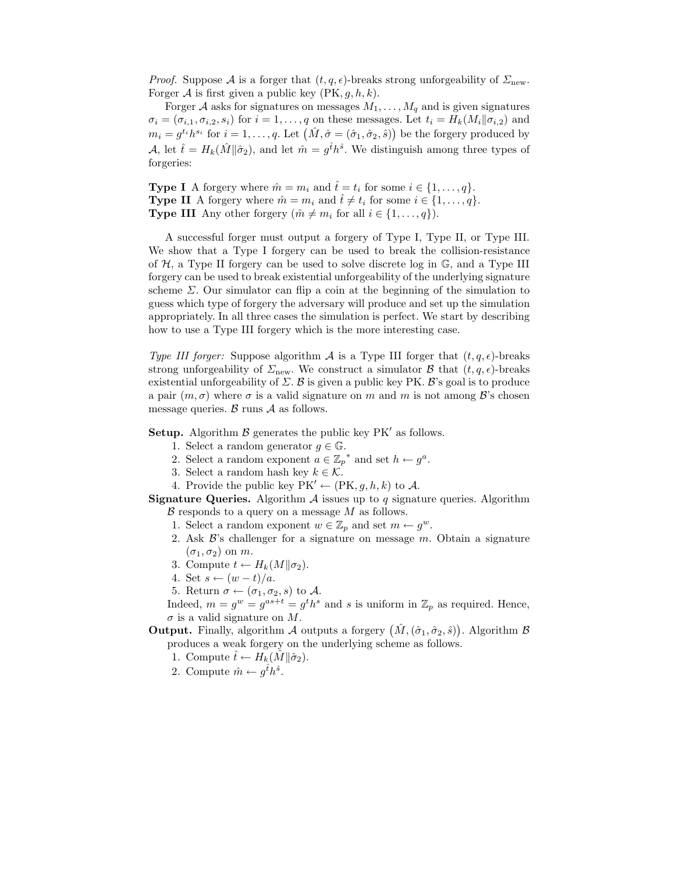*Proof.* Suppose A is a forger that  $(t, q, \epsilon)$ -breaks strong unforgeability of  $\Sigma_{\text{new}}$ . Forger A is first given a public key  $(PK, g, h, k)$ .

Forger A asks for signatures on messages  $M_1, \ldots, M_q$  and is given signatures  $\sigma_i = (\sigma_{i,1}, \sigma_{i,2}, s_i)$  for  $i = 1, \ldots, q$  on these messages. Let  $t_i = H_k(M_i || \sigma_{i,2})$  and  $m_i = g^{t_i} h^{s_i}$  for  $i = 1, \ldots, q$ . Let  $(\hat{M}, \hat{\sigma} = (\hat{\sigma}_1, \hat{\sigma}_2, \hat{s}))$  be the forgery produced by A, let  $\hat{t} = H_k(\hat{M}||\hat{\sigma}_2)$ , and let  $\hat{m} = g^{\hat{t}}h^{\hat{s}}$ . We distinguish among three types of forgeries:

**Type I** A forgery where  $\hat{m} = m_i$  and  $\hat{t} = t_i$  for some  $i \in \{1, ..., q\}$ . **Type II** A forgery where  $\hat{m} = m_i$  and  $\hat{t} \neq t_i$  for some  $i \in \{1, ..., q\}$ . **Type III** Any other forgery  $(\hat{m} \neq m_i \text{ for all } i \in \{1, ..., q\}).$ 

A successful forger must output a forgery of Type I, Type II, or Type III. We show that a Type I forgery can be used to break the collision-resistance of  $H$ , a Type II forgery can be used to solve discrete log in  $\mathbb{G}$ , and a Type III forgery can be used to break existential unforgeability of the underlying signature scheme  $\Sigma$ . Our simulator can flip a coin at the beginning of the simulation to guess which type of forgery the adversary will produce and set up the simulation appropriately. In all three cases the simulation is perfect. We start by describing how to use a Type III forgery which is the more interesting case.

Type III forger: Suppose algorithm A is a Type III forger that  $(t, q, \epsilon)$ -breaks strong unforgeability of  $\Sigma_{\text{new}}$ . We construct a simulator  $\beta$  that  $(t, q, \epsilon)$ -breaks existential unforgeability of  $\Sigma$ . B is given a public key PK. B's goal is to produce a pair  $(m, \sigma)$  where  $\sigma$  is a valid signature on m and m is not among  $\mathcal{B}'$ 's chosen message queries.  $\beta$  runs  $\mathcal A$  as follows.

**Setup.** Algorithm  $\beta$  generates the public key PK' as follows.

- 1. Select a random generator  $g \in \mathbb{G}$ .
- 2. Select a random exponent  $a \in \mathbb{Z}_p^*$  and set  $h \leftarrow g^a$ .
- 3. Select a random hash key  $k \in \mathcal{K}$ .
- 4. Provide the public key  $PK' \leftarrow (PK, g, h, k)$  to A.

**Signature Queries.** Algorithm  $A$  issues up to  $q$  signature queries. Algorithm  $\beta$  responds to a query on a message  $M$  as follows.

- 1. Select a random exponent  $w \in \mathbb{Z}_p$  and set  $m \leftarrow g^w$ .
- 2. Ask  $\mathcal{B}'$ 's challenger for a signature on message  $m$ . Obtain a signature  $(\sigma_1, \sigma_2)$  on m.
- 3. Compute  $t \leftarrow H_k(M||\sigma_2)$ .
- 4. Set  $s \leftarrow (w t)/a$ .
- 5. Return  $\sigma \leftarrow (\sigma_1, \sigma_2, s)$  to A.

Indeed,  $m = g^w = g^{as+t} = g^t h^s$  and s is uniform in  $\mathbb{Z}_p$  as required. Hence,  $\sigma$  is a valid signature on M.

**Output.** Finally, algorithm A outputs a forgery  $(\hat{M}, (\hat{\sigma}_1, \hat{\sigma}_2, \hat{s}))$ . Algorithm B produces a weak forgery on the underlying scheme as follows.

1. Compute  $\hat{t} \leftarrow \widetilde{H_k}(\hat{M} \| \hat{\sigma}_2)$ .

2. Compute  $\hat{m} \leftarrow g^{\hat{t}} h^{\hat{s}}$ .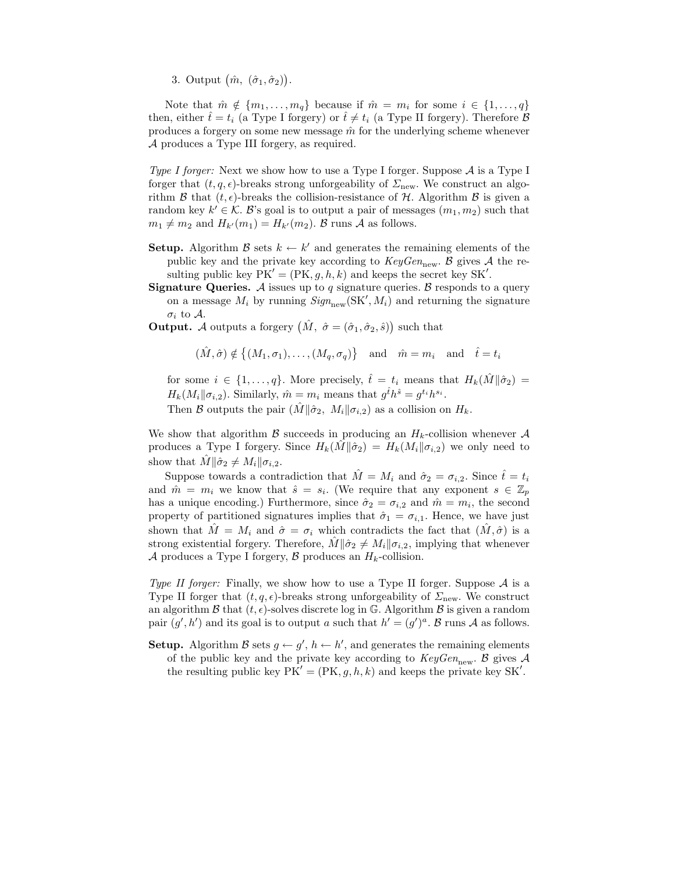3. Output  $(\hat{m}, (\hat{\sigma}_1, \hat{\sigma}_2)).$ 

Note that  $\hat{m} \notin \{m_1, \ldots, m_q\}$  because if  $\hat{m} = m_i$  for some  $i \in \{1, \ldots, q\}$ then, either  $\hat{t} = t_i$  (a Type I forgery) or  $\hat{t} \neq t_i$  (a Type II forgery). Therefore  $\beta$ produces a forgery on some new message  $\hat{m}$  for the underlying scheme whenever A produces a Type III forgery, as required.

Type I forger: Next we show how to use a Type I forger. Suppose  $\mathcal A$  is a Type I forger that  $(t, q, \epsilon)$ -breaks strong unforgeability of  $\Sigma_{\text{new}}$ . We construct an algorithm  $\mathcal B$  that  $(t, \epsilon)$ -breaks the collision-resistance of  $\mathcal H$ . Algorithm  $\mathcal B$  is given a random key  $k' \in \mathcal{K}$ . B's goal is to output a pair of messages  $(m_1, m_2)$  such that  $m_1 \neq m_2$  and  $H_{k'}(m_1) = H_{k'}(m_2)$ . B runs A as follows.

- **Setup.** Algorithm  $\mathcal{B}$  sets  $k \leftarrow k'$  and generates the remaining elements of the public key and the private key according to  $KeyGen_{new}$ . B gives A the resulting public key  $PK' = (PK, g, h, k)$  and keeps the secret key SK'.
- **Signature Queries.** A issues up to q signature queries. B responds to a query on a message  $M_i$  by running  $Sign_{new}(\text{SK}', M_i)$  and returning the signature  $\sigma_i$  to A.
- **Output.** A outputs a forgery  $(\hat{M}, \hat{\sigma} = (\hat{\sigma}_1, \hat{\sigma}_2, \hat{s}))$  such that

$$
(\hat{M}, \hat{\sigma}) \notin \{(M_1, \sigma_1), \dots, (M_q, \sigma_q)\}\
$$
 and  $\hat{m} = m_i$  and  $\hat{t} = t_i$ 

for some  $i \in \{1, ..., q\}$ . More precisely,  $\hat{t} = t_i$  means that  $H_k(\hat{M}||\hat{\sigma}_2) =$  $H_k(M_i \| \sigma_{i,2})$ . Similarly,  $\hat{m} = m_i$  means that  $g^{\hat{t}} h^{\hat{s}} = g^{t_i} h^{s_i}$ .

Then B outputs the pair  $(M||\hat{\sigma}_2, M_i||\sigma_{i,2})$  as a collision on  $H_k$ .

We show that algorithm  $\beta$  succeeds in producing an  $H_k$ -collision whenever  $\mathcal A$ produces a Type I forgery. Since  $H_k(M||\hat{\sigma}_2) = H_k(M_i||\sigma_{i,2})$  we only need to show that  $M\|\hat{\sigma}_2 \neq M_i\|\sigma_{i,2}$ .

Suppose towards a contradiction that  $\hat{M} = M_i$  and  $\hat{\sigma}_2 = \sigma_{i,2}$ . Since  $\hat{t} = t_i$ and  $\hat{m} = m_i$  we know that  $\hat{s} = s_i$ . (We require that any exponent  $s \in \mathbb{Z}_p$ has a unique encoding.) Furthermore, since  $\hat{\sigma}_2 = \sigma_{i,2}$  and  $\hat{m} = m_i$ , the second property of partitioned signatures implies that  $\hat{\sigma}_1 = \sigma_{i,1}$ . Hence, we have just shown that  $\hat{M} = M_i$  and  $\hat{\sigma} = \sigma_i$  which contradicts the fact that  $(\hat{M}, \hat{\sigma})$  is a strong existential forgery. Therefore,  $\hat{M} \parallel \hat{\sigma}_2 \neq M_i \parallel \sigma_{i,2}$ , implying that whenever A produces a Type I forgery,  $\beta$  produces an  $H_k$ -collision.

Type II forger: Finally, we show how to use a Type II forger. Suppose  $A$  is a Type II forger that  $(t, q, \epsilon)$ -breaks strong unforgeability of  $\Sigma_{\text{new}}$ . We construct an algorithm  $\mathcal B$  that  $(t, \epsilon)$ -solves discrete log in G. Algorithm  $\mathcal B$  is given a random pair  $(g', h')$  and its goal is to output a such that  $h' = (g')^a$ . B runs A as follows.

**Setup.** Algorithm  $\mathcal{B}$  sets  $g \leftarrow g', h \leftarrow h'$ , and generates the remaining elements of the public key and the private key according to  $KeyGen_{new}$ . B gives A the resulting public key  $PK' = (PK, g, h, k)$  and keeps the private key SK'.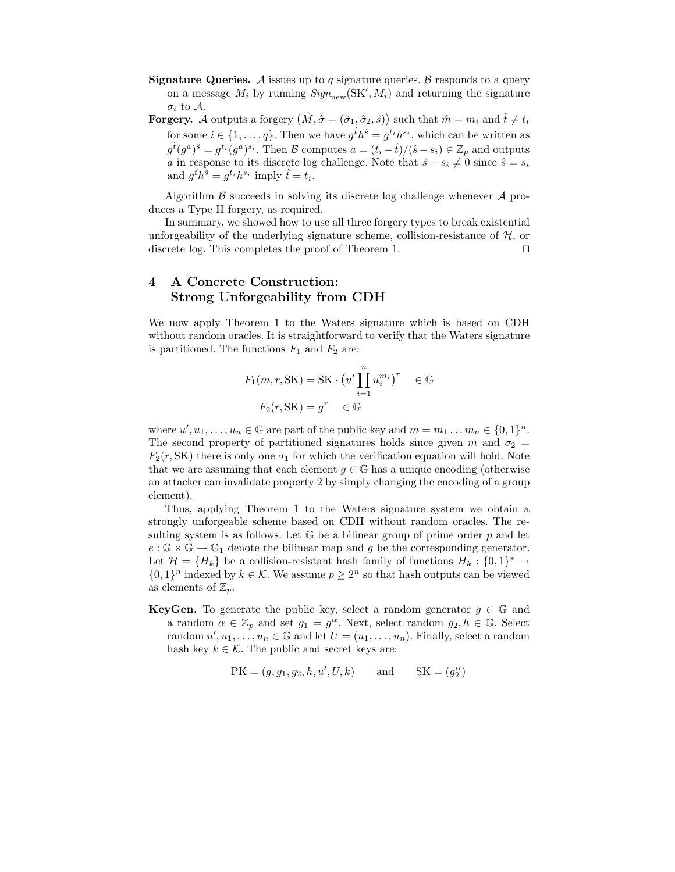- **Signature Queries.** A issues up to q signature queries. B responds to a query on a message  $M_i$  by running  $Sign_{new}(\text{SK}', M_i)$  and returning the signature  $\sigma_i$  to A.
- **Forgery.** A outputs a forgery  $(\hat{M}, \hat{\sigma} = (\hat{\sigma}_1, \hat{\sigma}_2, \hat{s}))$  such that  $\hat{m} = m_i$  and  $\hat{t} \neq t_i$ for some  $i \in \{1, ..., q\}$ . Then we have  $g^{\hat{t}} h^{\hat{s}} = g^{t_i} h^{s_i}$ , which can be written as  $g^{\hat{t}}(g^a)^{\hat{s}} = g^{t_i}(g^a)^{s_i}$ . Then B computes  $a = (t_i - \hat{t})/(\hat{s} - s_i) \in \mathbb{Z}_p$  and outputs a in response to its discrete log challenge. Note that  $\hat{s} - s_i \neq 0$  since  $\hat{s} = s_i$ and  $g^{\hat{t}}h^{\hat{s}} = g^{t_i}h^{s_i}$  imply  $\hat{t} = t_i$ .

Algorithm  $\beta$  succeeds in solving its discrete log challenge whenever  $\mathcal A$  produces a Type II forgery, as required.

In summary, we showed how to use all three forgery types to break existential unforgeability of the underlying signature scheme, collision-resistance of  $H$ , or discrete log. This completes the proof of Theorem 1. discrete log. This completes the proof of Theorem 1.

# 4 A Concrete Construction: Strong Unforgeability from CDH

We now apply Theorem 1 to the Waters signature which is based on CDH without random oracles. It is straightforward to verify that the Waters signature is partitioned. The functions  $F_1$  and  $F_2$  are:

$$
F_1(m, r, SK) = SK \cdot \left(u' \prod_{i=1}^n u_i^{m_i}\right)^r \in \mathbb{G}
$$

$$
F_2(r, SK) = g^r \in \mathbb{G}
$$

where  $u', u_1, \ldots, u_n \in \mathbb{G}$  are part of the public key and  $m = m_1 \ldots m_n \in \{0, 1\}^n$ . The second property of partitioned signatures holds since given m and  $\sigma_2 =$  $F_2(r, SK)$  there is only one  $\sigma_1$  for which the verification equation will hold. Note that we are assuming that each element  $g \in \mathbb{G}$  has a unique encoding (otherwise an attacker can invalidate property 2 by simply changing the encoding of a group element).

Thus, applying Theorem 1 to the Waters signature system we obtain a strongly unforgeable scheme based on CDH without random oracles. The resulting system is as follows. Let  $\mathbb G$  be a bilinear group of prime order p and let  $e : \mathbb{G} \times \mathbb{G} \to \mathbb{G}_1$  denote the bilinear map and g be the corresponding generator. Let  $\mathcal{H} = \{H_k\}$  be a collision-resistant hash family of functions  $H_k: \{0,1\}^* \to$  $\{0,1\}^n$  indexed by  $k \in \mathcal{K}$ . We assume  $p \geq 2^n$  so that hash outputs can be viewed as elements of  $\mathbb{Z}_p$ .

**KeyGen.** To generate the public key, select a random generator  $g \in \mathbb{G}$  and a random  $\alpha \in \mathbb{Z}_p$  and set  $g_1 = g^{\alpha}$ . Next, select random  $g_2, h \in \mathbb{G}$ . Select random  $u', u_1, \ldots, u_n \in \mathbb{G}$  and let  $U = (u_1, \ldots, u_n)$ . Finally, select a random hash key  $k \in \mathcal{K}$ . The public and secret keys are:

$$
PK = (g, g_1, g_2, h, u', U, k) \qquad \text{and} \qquad SK = (g_2^{\alpha})
$$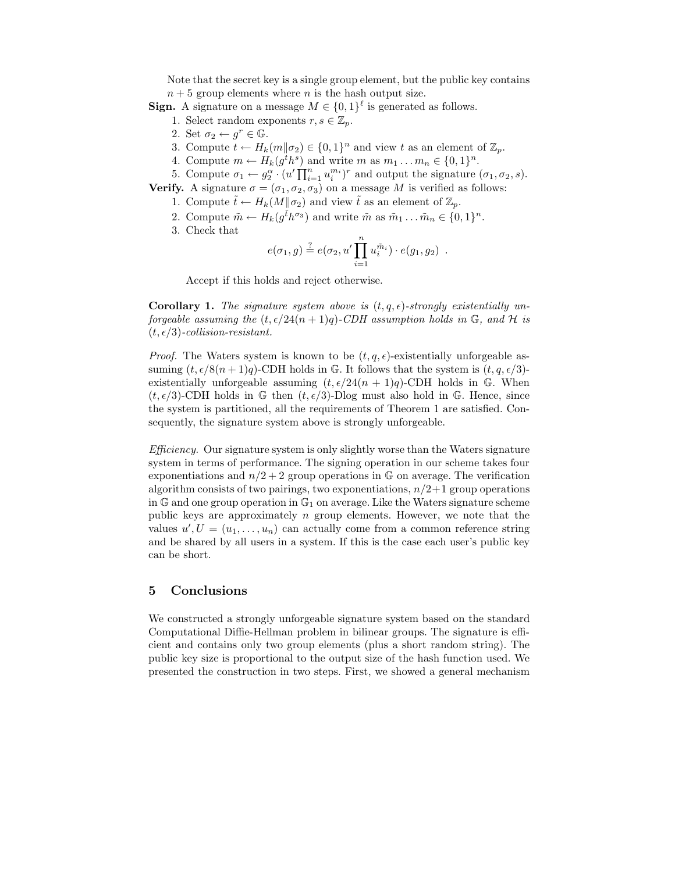Note that the secret key is a single group element, but the public key contains  $n + 5$  group elements where n is the hash output size.

- **Sign.** A signature on a message  $M \in \{0,1\}^{\ell}$  is generated as follows.
	- 1. Select random exponents  $r, s \in \mathbb{Z}_p$ .
	- 2. Set  $\sigma_2 \leftarrow q^r \in \mathbb{G}$ .
	- 3. Compute  $t \leftarrow H_k(m||\sigma_2) \in \{0,1\}^n$  and view t as an element of  $\mathbb{Z}_p$ .
	- 4. Compute  $m \leftarrow H_k(g^th^s)$  and write  $m$  as  $m_1 \ldots m_n \in \{0,1\}^n$ .
	- 5. Compute  $\sigma_1 \leftarrow g_2^{\alpha} \cdot (u' \prod_{i=1}^n u_i^{m_i})^r$  and output the signature  $(\sigma_1, \sigma_2, s)$ .

**Verify.** A signature  $\sigma = (\sigma_1, \sigma_2, \sigma_3)$  on a message M is verified as follows:

- 1. Compute  $\tilde{t} \leftarrow H_k(M||\sigma_2)$  and view  $\tilde{t}$  as an element of  $\mathbb{Z}_p$ .
- 2. Compute  $\tilde{m} \leftarrow H_k(g^{\tilde{t}} h^{\sigma_3})$  and write  $\tilde{m}$  as  $\tilde{m}_1 \dots \tilde{m}_n \in \{0, 1\}^n$ .
- 3. Check that

$$
e(\sigma_1, g) \stackrel{?}{=} e(\sigma_2, u' \prod_{i=1}^n u_i^{\tilde{m}_i}) \cdot e(g_1, g_2) .
$$

Accept if this holds and reject otherwise.

**Corollary 1.** The signature system above is  $(t, q, \epsilon)$ -strongly existentially unforgeable assuming the  $(t, \epsilon/24(n + 1)q)$ -CDH assumption holds in G, and H is  $(t, \epsilon/3)$ -collision-resistant.

*Proof.* The Waters system is known to be  $(t, q, \epsilon)$ -existentially unforgeable assuming  $(t, \epsilon/8(n + 1)q)$ -CDH holds in G. It follows that the system is  $(t, q, \epsilon/3)$ existentially unforgeable assuming  $(t, \epsilon/24(n + 1)q)$ -CDH holds in G. When  $(t, \epsilon/3)$ -CDH holds in G then  $(t, \epsilon/3)$ -Dlog must also hold in G. Hence, since the system is partitioned, all the requirements of Theorem 1 are satisfied. Consequently, the signature system above is strongly unforgeable.

Efficiency. Our signature system is only slightly worse than the Waters signature system in terms of performance. The signing operation in our scheme takes four exponentiations and  $n/2+2$  group operations in G on average. The verification algorithm consists of two pairings, two exponentiations,  $n/2+1$  group operations in G and one group operation in  $\mathbb{G}_1$  on average. Like the Waters signature scheme public keys are approximately  $n$  group elements. However, we note that the values  $u', U = (u_1, \ldots, u_n)$  can actually come from a common reference string and be shared by all users in a system. If this is the case each user's public key can be short.

### 5 Conclusions

We constructed a strongly unforgeable signature system based on the standard Computational Diffie-Hellman problem in bilinear groups. The signature is efficient and contains only two group elements (plus a short random string). The public key size is proportional to the output size of the hash function used. We presented the construction in two steps. First, we showed a general mechanism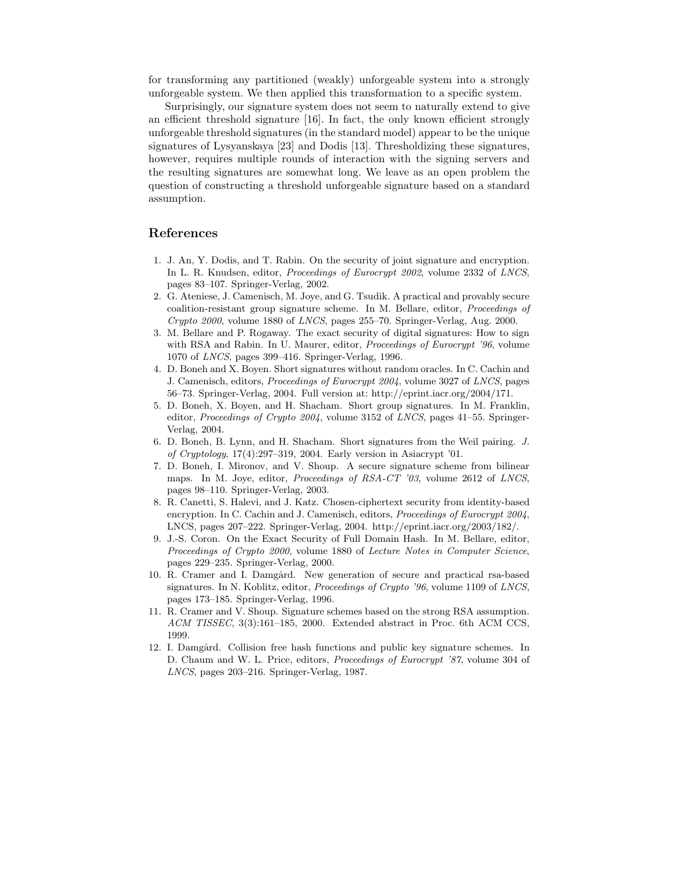for transforming any partitioned (weakly) unforgeable system into a strongly unforgeable system. We then applied this transformation to a specific system.

Surprisingly, our signature system does not seem to naturally extend to give an efficient threshold signature [16]. In fact, the only known efficient strongly unforgeable threshold signatures (in the standard model) appear to be the unique signatures of Lysyanskaya [23] and Dodis [13]. Thresholdizing these signatures, however, requires multiple rounds of interaction with the signing servers and the resulting signatures are somewhat long. We leave as an open problem the question of constructing a threshold unforgeable signature based on a standard assumption.

## References

- 1. J. An, Y. Dodis, and T. Rabin. On the security of joint signature and encryption. In L. R. Knudsen, editor, Proceedings of Eurocrypt 2002, volume 2332 of LNCS, pages 83–107. Springer-Verlag, 2002.
- 2. G. Ateniese, J. Camenisch, M. Joye, and G. Tsudik. A practical and provably secure coalition-resistant group signature scheme. In M. Bellare, editor, Proceedings of Crypto 2000, volume 1880 of LNCS, pages 255–70. Springer-Verlag, Aug. 2000.
- 3. M. Bellare and P. Rogaway. The exact security of digital signatures: How to sign with RSA and Rabin. In U. Maurer, editor, Proceedings of Eurocrypt '96, volume 1070 of LNCS, pages 399–416. Springer-Verlag, 1996.
- 4. D. Boneh and X. Boyen. Short signatures without random oracles. In C. Cachin and J. Camenisch, editors, Proceedings of Eurocrypt 2004, volume 3027 of LNCS, pages 56–73. Springer-Verlag, 2004. Full version at: http://eprint.iacr.org/2004/171.
- 5. D. Boneh, X. Boyen, and H. Shacham. Short group signatures. In M. Franklin, editor, Proceedings of Crypto 2004, volume 3152 of LNCS, pages 41–55. Springer-Verlag, 2004.
- 6. D. Boneh, B. Lynn, and H. Shacham. Short signatures from the Weil pairing. J. of Cryptology, 17(4):297–319, 2004. Early version in Asiacrypt '01.
- 7. D. Boneh, I. Mironov, and V. Shoup. A secure signature scheme from bilinear maps. In M. Joye, editor, Proceedings of RSA-CT '03, volume 2612 of LNCS, pages 98–110. Springer-Verlag, 2003.
- 8. R. Canetti, S. Halevi, and J. Katz. Chosen-ciphertext security from identity-based encryption. In C. Cachin and J. Camenisch, editors, *Proceedings of Eurocrypt 2004*, LNCS, pages 207–222. Springer-Verlag, 2004. http://eprint.iacr.org/2003/182/.
- 9. J.-S. Coron. On the Exact Security of Full Domain Hash. In M. Bellare, editor, Proceedings of Crypto 2000, volume 1880 of Lecture Notes in Computer Science, pages 229–235. Springer-Verlag, 2000.
- 10. R. Cramer and I. Damgård. New generation of secure and practical rsa-based signatures. In N. Koblitz, editor, *Proceedings of Crypto '96*, volume 1109 of *LNCS*, pages 173–185. Springer-Verlag, 1996.
- 11. R. Cramer and V. Shoup. Signature schemes based on the strong RSA assumption. ACM TISSEC, 3(3):161–185, 2000. Extended abstract in Proc. 6th ACM CCS, 1999.
- 12. I. Damgård. Collision free hash functions and public key signature schemes. In D. Chaum and W. L. Price, editors, Proceedings of Eurocrypt '87, volume 304 of LNCS, pages 203–216. Springer-Verlag, 1987.